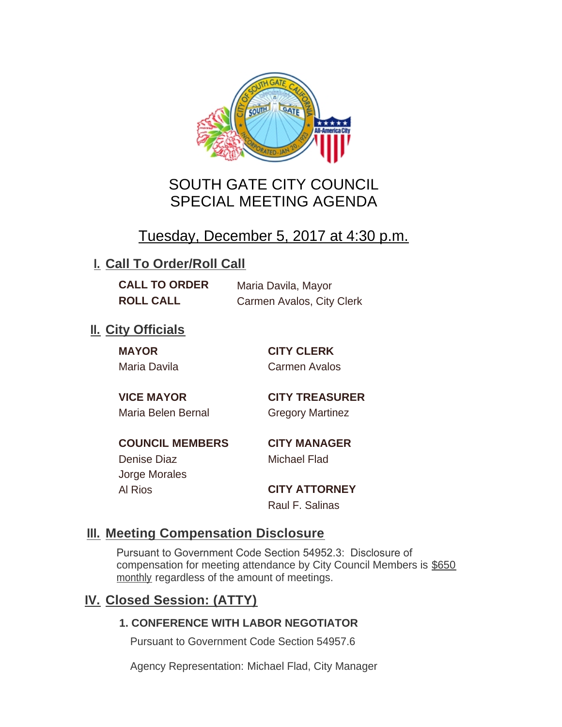

# SOUTH GATE CITY COUNCIL SPECIAL MEETING AGENDA

# Tuesday, December 5, 2017 at 4:30 p.m.

## **I. Call To Order/Roll Call**

**CALL TO ORDER** Maria Davila, Mayor **ROLL CALL** Carmen Avalos, City Clerk

## **II.** City Officials

**MAYOR CITY CLERK**

Maria Davila Carmen Avalos

Maria Belen Bernal **Gregory Martinez** 

**VICE MAYOR CITY TREASURER**

**COUNCIL MEMBERS CITY MANAGER** Denise Diaz Michael Flad

Jorge Morales

Al Rios **CITY ATTORNEY** Raul F. Salinas

### **Meeting Compensation Disclosure III.**

Pursuant to Government Code Section 54952.3: Disclosure of compensation for meeting attendance by City Council Members is \$650 monthly regardless of the amount of meetings.

## **Closed Session: (ATTY) IV.**

### **1. CONFERENCE WITH LABOR NEGOTIATOR**

Pursuant to Government Code Section 54957.6

Agency Representation: Michael Flad, City Manager